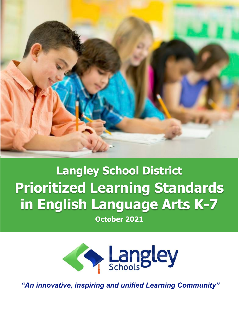

# **Langley School District Prioritized Learning Standards in English Language Arts K-7**

**October 2021**



*"An innovative, inspiring and unified Learning Community"*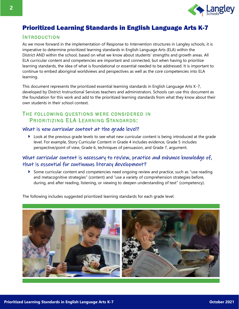

# Prioritized Learning Standards in English Language Arts K-7

# **INTRODUCTION**

As we move forward in the implementation of Response to Intervention structures in Langley schools, it is imperative to determine prioritized learning standards in English Language Arts (ELA) within the District AND within the school, based on what we know about students' strengths and growth areas. All ELA curricular content and competencies are important and connected, but when having to prioritize learning standards, the idea of what is foundational or essential needed to be addressed. It is important to continue to embed aboriginal worldviews and perspectives as well as the core competencies into ELA learning.

This document represents the prioritized essential learning standards in English Language Arts K-7, developed by District Instructional Services teachers and administrators. Schools can use this document as the foundation for this work and add to the prioritized learning standards from what they know about their own students in their school context.

# THE FOLLOWING OUESTIONS WERE CONSIDERED IN PRIORITIZING ELA LEARNING STANDARDS:

## What is new curricular content at the grade level?

Look at the previous grade levels to see what new curricular content is being introduced at the grade level. For example, Story Curricular Content in Grade 4 includes evidence, Grade 5 includes perspective/point of view, Grade 6, techniques of persuasion, and Grade 7, argument.

# What curricular content is necessary to review, practice and enhance knowledge of, that is essential for continuous literacy development?

Some curricular content and competencies need ongoing review and practice, such as "use reading and metacognitive strategies" (content) and "use a variety of comprehension strategies before, during, and after reading, listening, or viewing to deepen understanding of text" (competency).

The following includes suggested prioritized learning standards for each grade level.

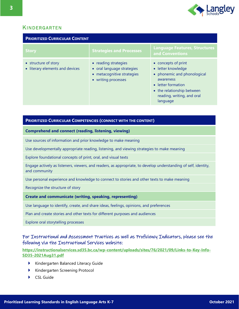

# **KINDERGARTEN**

| <b>PRIORITIZED CURRICULAR CONTENT</b>                   |                                                                                                         |                                                                                                                                                                                     |
|---------------------------------------------------------|---------------------------------------------------------------------------------------------------------|-------------------------------------------------------------------------------------------------------------------------------------------------------------------------------------|
| <b>Story</b>                                            | <b>Strategies and Processes</b>                                                                         | <b>Language Features, Structures</b><br>and Conventions                                                                                                                             |
| • structure of story<br>• literary elements and devices | • reading strategies<br>• oral language strategies<br>• metacognitive strategies<br>• writing processes | • concepts of print<br>• letter knowledge<br>• phonemic and phonological<br>awareness<br>• letter formation<br>• the relationship between<br>reading, writing, and oral<br>language |

## **PRIORITIZED CURRICULAR COMPETENCIES (CONNECT WITH THE CONTENT)**

## **Comprehend and connect (reading, listening, viewing)**

Use sources of information and prior knowledge to make meaning

Use developmentally appropriate reading, listening, and viewing strategies to make meaning

Explore foundational concepts of print, oral, and visual texts

Engage actively as listeners, viewers, and readers, as appropriate, to develop understanding of self, identity, and community

Use personal experience and knowledge to connect to stories and other texts to make meaning

Recognize the structure of story

#### **Create and communicate (writing, speaking, representing)**

Use language to identify, create, and share ideas, feelings, opinions, and preferences

Plan and create stories and other texts for different purposes and audiences

Explore oral storytelling processes

## For Instructional and Assessment Practices as well as Proficiency Indicators, please see the following via the Instructional Services website:

- **Kindergarten Balanced Literacy Guide**
- Kindergarten Screening Protocol
- CSL Guide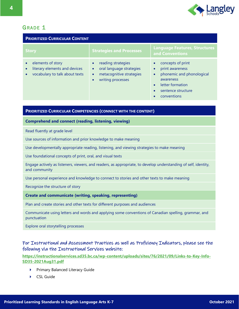

| <b>PRIORITIZED CURRICULAR CONTENT</b>                                                |                                                                                                              |                                                                                                                                         |
|--------------------------------------------------------------------------------------|--------------------------------------------------------------------------------------------------------------|-----------------------------------------------------------------------------------------------------------------------------------------|
| <b>Story</b>                                                                         | <b>Strategies and Processes</b>                                                                              | <b>Language Features, Structures</b><br>and Conventions                                                                                 |
| elements of story<br>literary elements and devices<br>vocabulary to talk about texts | reading strategies<br>oral language strategies<br>$\bullet$<br>metacognitive strategies<br>writing processes | concepts of print<br>print awareness<br>phonemic and phonological<br>awareness<br>letter formation<br>sentence structure<br>conventions |

## **PRIORITIZED CURRICULAR COMPETENCIES (CONNECT WITH THE CONTENT)**

**Comprehend and connect (reading, listening, viewing)**

Read fluently at grade level

Use sources of information and prior knowledge to make meaning

Use developmentally appropriate reading, listening, and viewing strategies to make meaning

Use foundational concepts of print, oral, and visual texts

Engage actively as listeners, viewers, and readers, as appropriate, to develop understanding of self, identity, and community

Use personal experience and knowledge to connect to stories and other texts to make meaning

Recognize the structure of story

#### **Create and communicate (writing, speaking, representing)**

Plan and create stories and other texts for different purposes and audiences

Communicate using letters and words and applying some conventions of Canadian spelling, grammar, and punctuation

Explore oral storytelling processes

# For Instructional and Assessment Practices as well as Proficiency Indicators, please see the following via the Instructional Services website:

- Primary Balanced Literacy Guide
- CSL Guide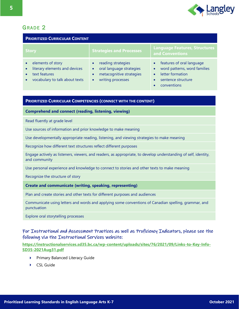

| <b>PRIORITIZED CURRICULAR CONTENT</b>                                                                                                        |                                                                                                                                        |                                                                                                                                              |
|----------------------------------------------------------------------------------------------------------------------------------------------|----------------------------------------------------------------------------------------------------------------------------------------|----------------------------------------------------------------------------------------------------------------------------------------------|
| <b>Story</b>                                                                                                                                 | <b>Strategies and Processes</b>                                                                                                        | <b>Language Features, Structures</b><br>and Conventions                                                                                      |
| elements of story<br>$\bullet$<br>literary elements and devices<br>$\bullet$<br>text features<br>vocabulary to talk about texts<br>$\bullet$ | reading strategies<br>oral language strategies<br>$\bullet$<br>metacognitive strategies<br>$\bullet$<br>writing processes<br>$\bullet$ | features of oral language<br>word patterns, word families<br>$\bullet$<br>letter formation<br>$\bullet$<br>sentence structure<br>conventions |

## **PRIORITIZED CURRICULAR COMPETENCIES (CONNECT WITH THE CONTENT)**

**Comprehend and connect (reading, listening, viewing)**

Read fluently at grade level

Use sources of information and prior knowledge to make meaning

Use developmentally appropriate reading, listening, and viewing strategies to make meaning

Recognize how different text structures reflect different purposes

Engage actively as listeners, viewers, and readers, as appropriate, to develop understanding of self, identity, and community

Use personal experience and knowledge to connect to stories and other texts to make meaning

Recognize the structure of story

#### **Create and communicate (writing, speaking, representing)**

Plan and create stories and other texts for different purposes and audiences

Communicate using letters and words and applying some conventions of Canadian spelling, grammar, and punctuation

Explore oral storytelling processes

## For Instructional and Assessment Practices as well as Proficiency Indicators, please see the following via the Instructional Services website:

- $\blacktriangleright$ Primary Balanced Literacy Guide
- CSL Guide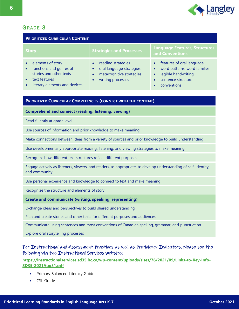

# GRADE<sub>3</sub>

| <b>PRIORITIZED CURRICULAR CONTENT</b>                                                                                                  |                                                                                                              |                                                                                                                                                                           |
|----------------------------------------------------------------------------------------------------------------------------------------|--------------------------------------------------------------------------------------------------------------|---------------------------------------------------------------------------------------------------------------------------------------------------------------------------|
| <b>Story</b>                                                                                                                           | <b>Strategies and Processes</b>                                                                              | <b>Language Features, Structures</b><br>and Conventions                                                                                                                   |
| elements of story<br>functions and genres of<br>$\bullet$<br>stories and other texts<br>text features<br>literary elements and devices | reading strategies<br>$\bullet$<br>oral language strategies<br>metacognitive strategies<br>writing processes | features of oral language<br>$\bullet$<br>word patterns, word families<br>$\bullet$<br>legible handwriting<br>$\bullet$<br>sentence structure<br>conventions<br>$\bullet$ |
|                                                                                                                                        |                                                                                                              |                                                                                                                                                                           |
| <b>PRIORITIZED CURRICULAR COMPETENCIES (CONNECT WITH THE CONTENT)</b>                                                                  |                                                                                                              |                                                                                                                                                                           |

**Comprehend and connect (reading, listening, viewing)**

Read fluently at grade level

Use sources of information and prior knowledge to make meaning

Make connections between ideas from a variety of sources and prior knowledge to build understanding

Use developmentally appropriate reading, listening, and viewing strategies to make meaning

Recognize how different text structures reflect different purposes.

Engage actively as listeners, viewers, and readers, as appropriate, to develop understanding of self, identity, and community

Use personal experience and knowledge to connect to text and make meaning

Recognize the structure and elements of story

**Create and communicate (writing, speaking, representing)**

Exchange ideas and perspectives to build shared understanding

Plan and create stories and other texts for different purposes and audiences

Communicate using sentences and most conventions of Canadian spelling, grammar, and punctuation

Explore oral storytelling processes

For Instructional and Assessment Practices as well as Proficiency Indicators, please see the following via the Instructional Services website:

- Primary Balanced Literacy Guide ь
- CSL Guide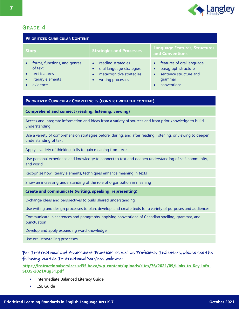

| <b>PRIORITIZED CURRICULAR CONTENT</b>                                                                               |                                                                                                                           |                                                                                                                                             |
|---------------------------------------------------------------------------------------------------------------------|---------------------------------------------------------------------------------------------------------------------------|---------------------------------------------------------------------------------------------------------------------------------------------|
| <b>Story</b>                                                                                                        | <b>Strategies and Processes</b>                                                                                           | <b>Language Features, Structures</b><br>and Conventions                                                                                     |
| forms, functions, and genres<br>$\bullet$<br>of text<br>text features<br>literary elements<br>$\bullet$<br>evidence | reading strategies<br>$\bullet$<br>oral language strategies<br>metacognitive strategies<br>$\bullet$<br>writing processes | features of oral language<br>paragraph structure<br>$\bullet$<br>sentence structure and<br>$\bullet$<br>grammar<br>conventions<br>$\bullet$ |

## **PRIORITIZED CURRICULAR COMPETENCIES (CONNECT WITH THE CONTENT)**

**Comprehend and connect (reading, listening, viewing)**

Access and integrate information and ideas from a variety of sources and from prior knowledge to build understanding

Use a variety of comprehension strategies before, during, and after reading, listening, or viewing to deepen understanding of text

Apply a variety of thinking skills to gain meaning from texts

Use personal experience and knowledge to connect to text and deepen understanding of self, community, and world

Recognize how literary elements, techniques enhance meaning in texts

Show an increasing understanding of the role of organization in meaning

**Create and communicate (writing, speaking, representing)**

Exchange ideas and perspectives to build shared understanding

Use writing and design processes to plan, develop, and create texts for a variety of purposes and audiences

Communicate in sentences and paragraphs, applying conventions of Canadian spelling, grammar, and punctuation

Develop and apply expanding word knowledge

Use oral storytelling processes

## For Instructional and Assessment Practices as well as Proficiency Indicators, please see the following via the Instructional Services website:

- Intermediate Balanced Literacy Guide Þ.
- CSL Guide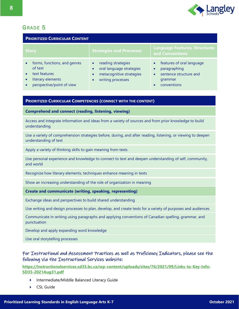

| <b>PRIORITIZED CURRICULAR CONTENT</b>                                                                                   |                                                                                                              |                                                                                                                         |
|-------------------------------------------------------------------------------------------------------------------------|--------------------------------------------------------------------------------------------------------------|-------------------------------------------------------------------------------------------------------------------------|
| <b>Story</b>                                                                                                            | <b>Strategies and Processes</b>                                                                              | <b>Language Features, Structures</b><br>and Conventions                                                                 |
| forms, functions, and genres<br>$\bullet$<br>of text<br>text features<br>literary elements<br>perspective/point of view | reading strategies<br>$\bullet$<br>oral language strategies<br>metacognitive strategies<br>writing processes | features of oral language<br>paragraphing<br>$\bullet$<br>sentence structure and<br>$\bullet$<br>grammar<br>conventions |

## **PRIORITIZED CURRICULAR COMPETENCIES (CONNECT WITH THE CONTENT)**

**Comprehend and connect (reading, listening, viewing)**

Access and integrate information and ideas from a variety of sources and from prior knowledge to build understanding

Use a variety of comprehension strategies before, during, and after reading, listening, or viewing to deepen understanding of text

Apply a variety of thinking skills to gain meaning from texts

Use personal experience and knowledge to connect to text and deepen understanding of self, community, and world

Recognize how literary elements, techniques enhance meaning in texts

Show an increasing understanding of the role of organization in meaning

**Create and communicate (writing, speaking, representing)**

Exchange ideas and perspectives to build shared understanding

Use writing and design processes to plan, develop, and create texts for a variety of purposes and audiences

Communicate in writing using paragraphs and applying conventions of Canadian spelling, grammar, and punctuation

Develop and apply expanding word knowledge

Use oral storytelling processes

## For Instructional and Assessment Practices as well as Proficiency Indicators, please see the following via the Instructional Services website:

- Intermediate/Middle Balanced Literacy Guide
- ▶ CSL Guide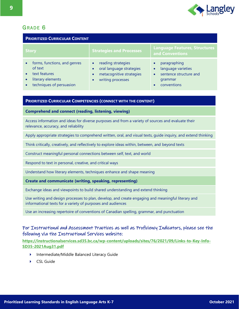

# GRADE<sub>6</sub>

| <b>PRIORITIZED CURRICULAR CONTENT</b>                                                                     |                                                                                                              |                                                                                        |
|-----------------------------------------------------------------------------------------------------------|--------------------------------------------------------------------------------------------------------------|----------------------------------------------------------------------------------------|
| <b>Story</b>                                                                                              | <b>Strategies and Processes</b>                                                                              | <b>Language Features, Structures</b><br>and Conventions                                |
| forms, functions, and genres<br>of text<br>text features<br>literary elements<br>techniques of persuasion | reading strategies<br>$\bullet$<br>oral language strategies<br>metacognitive strategies<br>writing processes | paragraphing<br>language varieties<br>sentence structure and<br>grammar<br>conventions |

## **PRIORITIZED CURRICULAR COMPETENCIES (CONNECT WITH THE CONTENT)**

**Comprehend and connect (reading, listening, viewing)**

Access information and ideas for diverse purposes and from a variety of sources and evaluate their relevance, accuracy, and reliability

Apply appropriate strategies to comprehend written, oral, and visual texts, guide inquiry, and extend thinking

Think critically, creatively, and reflectively to explore ideas within, between, and beyond texts

Construct meaningful personal connections between self, text, and world

Respond to text in personal, creative, and critical ways

Understand how literary elements, techniques enhance and shape meaning

**Create and communicate (writing, speaking, representing)**

Exchange ideas and viewpoints to build shared understanding and extend thinking

Use writing and design processes to plan, develop, and create engaging and meaningful literary and informational texts for a variety of purposes and audiences

Use an increasing repertoire of conventions of Canadian spelling, grammar, and punctuation

## For Instructional and Assessment Practices as well as Proficiency Indicators, please see the following via the Instructional Services website:

- Intermediate/Middle Balanced Literacy Guide
- CSL Guide